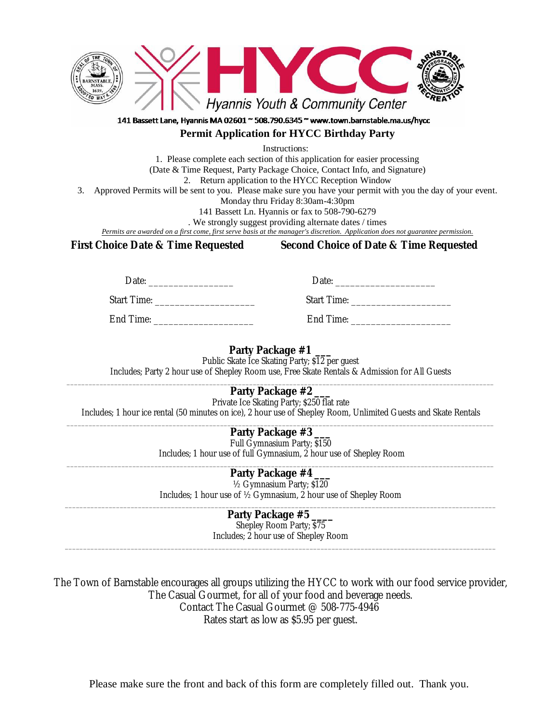

# 141 Bassett Lane, Hyannis MA 02601 ~ 508.790.6345 ~ www.town.barnstable.ma.us/hycc

# **Permit Application for HYCC Birthday Party**

Instructions:

1. Please complete each section of this application for easier processing (Date & Time Request, Party Package Choice, Contact Info, and Signature) 2. Return application to the HYCC Reception Window

3. Approved Permits will be sent to you. Please make sure you have your permit with you the day of your event.

Monday thru Friday 8:30am-4:30pm

141 Bassett Ln. Hyannis or fax to 508-790-6279

. We strongly suggest providing alternate dates / times

*Permits are awarded on a first come, first serve basis at the manager's discretion. Application does not guarantee permission.*

**First Choice Date & Time Requested Second Choice of Date & Time Requested**

Date: \_\_\_\_\_\_\_\_\_\_\_\_\_\_\_\_\_ Date: \_\_\_\_\_\_\_\_\_\_\_\_\_\_\_\_\_\_\_\_

Start Time: \_\_\_\_\_\_\_\_\_\_\_\_\_\_\_\_\_\_\_\_ Start Time: \_\_\_\_\_\_\_\_\_\_\_\_\_\_\_\_\_\_\_\_

End Time: \_\_\_\_\_\_\_\_\_\_\_\_\_\_\_\_\_\_\_\_ End Time: \_\_\_\_\_\_\_\_\_\_\_\_\_\_\_\_\_\_\_\_

# **Party Package #1 \_\_\_**

Public Skate Ice Skating Party; \$12 per guest

Includes; Party 2 hour use of Shepley Room use, Free Skate Rentals & Admission for All Guests

## \_\_\_\_\_\_\_\_\_\_\_\_\_\_\_\_\_\_\_\_\_\_\_\_\_\_\_\_\_\_\_\_\_\_\_\_\_\_\_\_\_\_\_\_\_\_\_\_\_\_\_\_\_\_\_\_\_\_\_\_\_\_\_\_\_\_\_\_\_\_\_\_\_\_\_\_\_\_\_\_\_\_\_\_\_\_\_\_\_\_\_\_\_\_\_\_\_\_\_\_\_\_\_\_\_\_\_\_\_\_\_\_\_\_\_\_\_ **Party Package #2**

Private Ice Skating Party; \$250 flat rate Includes; 1 hour ice rental (50 minutes on ice), 2 hour use of Shepley Room, Unlimited Guests and Skate Rentals

#### \_\_\_\_\_\_\_\_\_\_\_\_\_\_\_\_\_\_\_\_\_\_\_\_\_\_\_\_\_\_\_\_\_\_\_\_\_\_\_\_\_\_\_\_\_\_\_\_\_\_\_\_\_\_\_\_\_\_\_\_\_\_\_\_\_\_\_\_\_\_\_\_\_\_\_\_\_\_\_\_\_\_\_\_\_\_\_\_\_\_\_\_\_\_\_\_\_\_\_\_\_\_\_\_\_\_\_\_\_\_\_\_\_\_\_\_\_ **Party Package #3 \_\_\_**

Full Gymnasium Party; \$150 Includes; 1 hour use of full Gymnasium, 2 hour use of Shepley Room

### \_\_\_\_\_\_\_\_\_\_\_\_\_\_\_\_\_\_\_\_\_\_\_\_\_\_\_\_\_\_\_\_\_\_\_\_\_\_\_\_\_\_\_\_\_\_\_\_\_\_\_\_\_\_\_\_\_\_\_\_\_\_\_\_\_\_\_\_\_\_\_\_\_\_\_\_\_\_\_\_\_\_\_\_\_\_\_\_\_\_\_\_\_\_\_\_\_\_\_\_\_\_\_\_\_\_\_\_\_\_\_\_\_\_\_\_\_ **Party Package #4 \_\_\_**

½ Gymnasium Party; \$120 Includes; 1 hour use of ½ Gymnasium, 2 hour use of Shepley Room

## \_\_\_\_\_\_\_\_\_\_\_\_\_\_\_\_\_\_\_\_\_\_\_\_\_\_\_\_\_\_\_\_\_\_\_\_\_\_\_\_\_\_\_\_\_\_\_\_\_\_\_\_\_\_\_\_\_\_\_\_\_\_\_\_\_\_\_\_\_\_\_\_\_\_\_\_\_\_\_\_\_\_\_\_\_\_\_\_\_\_\_\_\_\_\_\_\_\_\_\_\_\_\_\_\_\_\_\_\_\_\_\_\_\_\_\_\_\_ **Party Package #5 \_\_\_\_**

Shepley Room Party; \$75 Includes; 2 hour use of Shepley Room \_\_\_\_\_\_\_\_\_\_\_\_\_\_\_\_\_\_\_\_\_\_\_\_\_\_\_\_\_\_\_\_\_\_\_\_\_\_\_\_\_\_\_\_\_\_\_\_\_\_\_\_\_\_\_\_\_\_\_\_\_\_\_\_\_\_\_\_\_\_\_\_\_\_\_\_\_\_\_\_\_\_\_\_\_\_\_\_\_\_\_\_\_\_\_\_\_\_\_\_\_\_\_\_\_\_\_\_\_\_\_\_\_\_\_\_\_\_

The Town of Barnstable encourages all groups utilizing the HYCC to work with our food service provider, The Casual Gourmet, for all of your food and beverage needs. Contact The Casual Gourmet @ 508-775-4946 Rates start as low as \$5.95 per guest.

Please make sure the front and back of this form are completely filled out. Thank you.